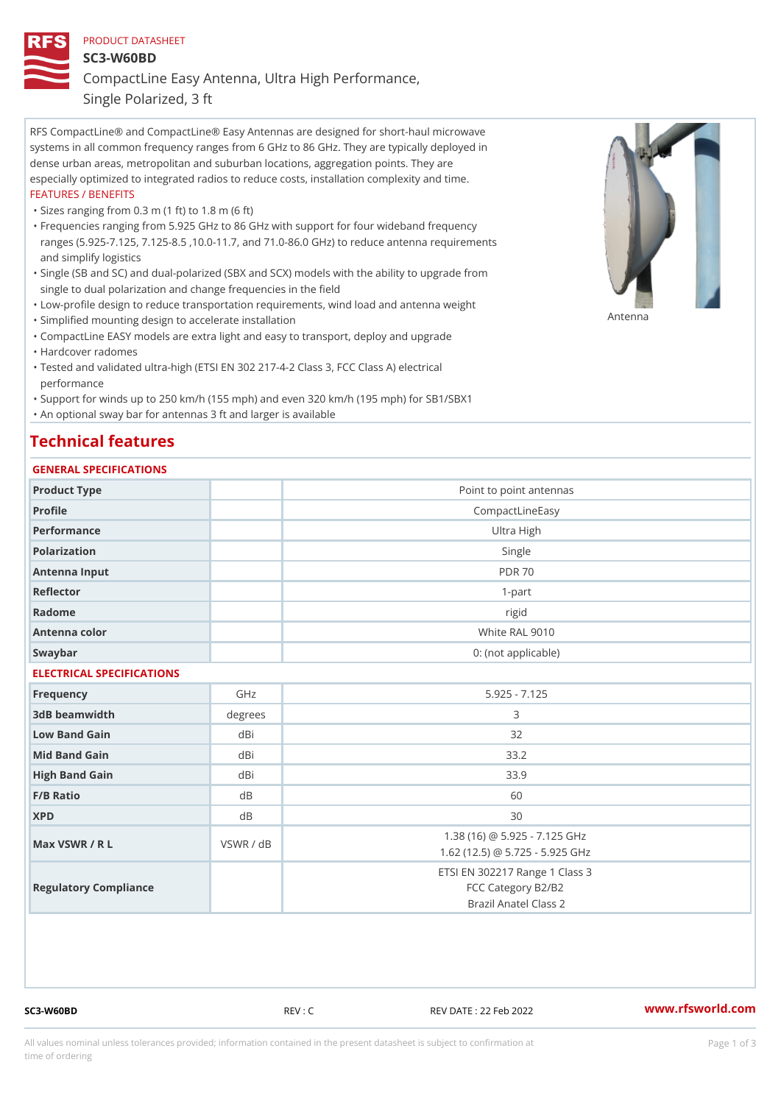#### PRODUCT DATASHEET

SC3-W60BD

CompactLine Easy Antenna, Ultra High Performance,

Single Polarized, 3 ft

RFS CompactLine® and CompactLine® Easy Antennas are designed for short-haul microwave systems in all common frequency ranges from 6 GHz to 86 GHz. They are typically deployed in dense urban areas, metropolitan and suburban locations, aggregation points. They are especially optimized to integrated radios to reduce costs, installation complexity and time. FEATURES / BENEFITS

"Sizes ranging from 0.3 m (1 ft) to 1.8 m (6 ft)

- Frequencies ranging from 5.925 GHz to 86 GHz with support for four wideband frequency " ranges (5.925-7.125, 7.125-8.5 ,10.0-11.7, and 71.0-86.0 GHz) to reduce antenna requirements and simplify logistics
- Single (SB and SC) and dual-polarized (SBX and SCX) models with the ability to upgrade from " single to dual polarization and change frequencies in the field
- "Low-profile design to reduce transportation requirements, wind load and antenna weight
- "Simplified mounting design to accelerate installation

 "CompactLine EASY models are extra light and easy to transport, deploy and upgrade "Hardcover radomes

Tested and validated ultra-high (ETSI EN 302 217-4-2 Class 3, FCC Class A) electrical " performance

 "Support for winds up to 250 km/h (155 mph) and even 320 km/h (195 mph) for SB1/SBX1 "An optional sway bar for antennas 3 ft and larger is available

## Technical features

### GENERAL SPECIFICATIONS

| OLIVLINAL OI LOII IOA I IONO |                                                                               |  |  |
|------------------------------|-------------------------------------------------------------------------------|--|--|
|                              | Point to point antennas                                                       |  |  |
|                              | CompactLineEasy                                                               |  |  |
|                              | Ultra High                                                                    |  |  |
|                              | Single                                                                        |  |  |
|                              | <b>PDR 70</b>                                                                 |  |  |
|                              | $1-part$                                                                      |  |  |
|                              | rigid                                                                         |  |  |
|                              | White RAL 9010                                                                |  |  |
|                              | 0: (not applicable)                                                           |  |  |
| ELECTRICAL SPECIFICATIONS    |                                                                               |  |  |
| GHz                          | $5.925 - 7.125$                                                               |  |  |
| degrees                      | 3                                                                             |  |  |
| dBi                          | 32                                                                            |  |  |
| dBi                          | 33.2                                                                          |  |  |
| dBi                          | 33.9                                                                          |  |  |
| $d \, B$                     | 60                                                                            |  |  |
| d B                          | 30                                                                            |  |  |
| VSWR / dB                    | 1.38 (16) @ 5.925 - 7.125 GHz<br>1.62 (12.5) @ 5.725 - 5.925 GHz              |  |  |
|                              | ETSI EN 302217 Range 1 Class 3<br>FCC Category B2/B2<br>Brazil Anatel Class 2 |  |  |
|                              |                                                                               |  |  |

SC3-W60BD REV : C REV DATE : 22 Feb 2022 [www.](https://www.rfsworld.com)rfsworld.com

Antenna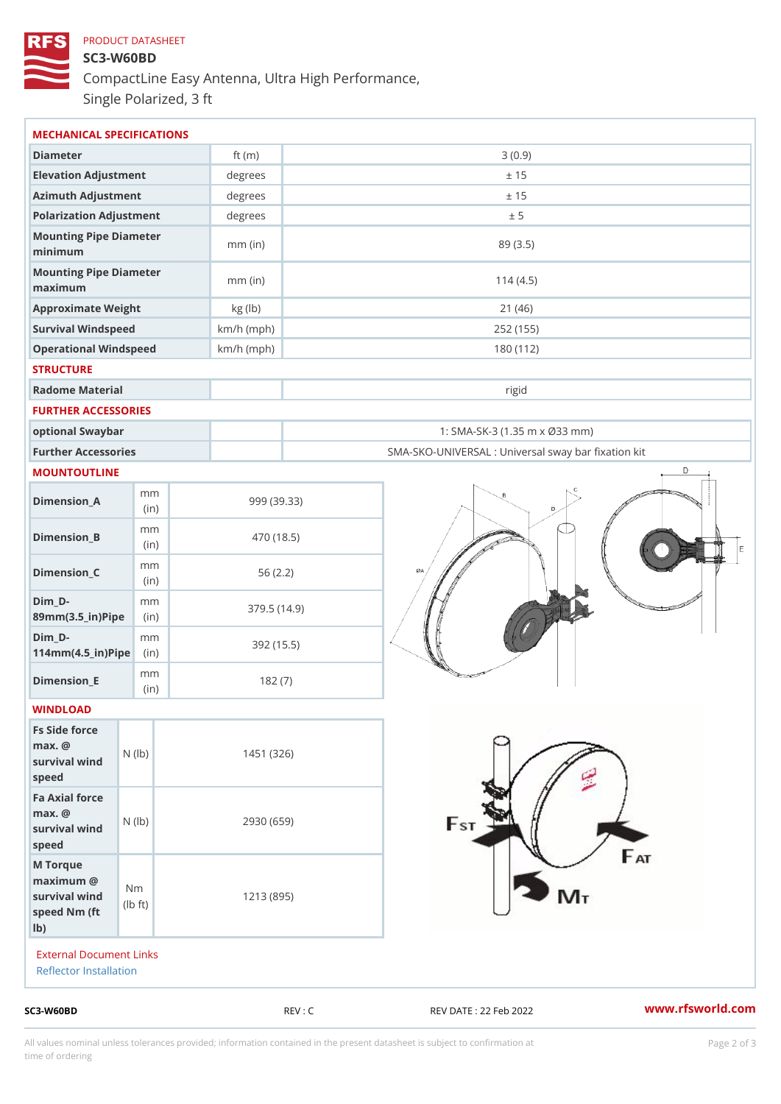# PRODUCT DATASHEET SC3-W60BD CompactLine Easy Antenna, Ultra High Performance, Single Polarized, 3 ft

| MECHANICAL SPECIFICATIONS                                                                        |              |                                                      |
|--------------------------------------------------------------------------------------------------|--------------|------------------------------------------------------|
| Diameter                                                                                         | ft $(m)$     | 3(0.9)                                               |
| Elevation Adjustment                                                                             | degrees      | ± 15                                                 |
| Azimuth Adjustment                                                                               | degrees      | ± 15                                                 |
| Polarization Adjustment                                                                          | degrees      | ± 5                                                  |
| Mounting Pipe Diameter<br>minimum                                                                | $mm$ (in)    | 89 (3.5)                                             |
| Mounting Pipe Diameter<br>maximum                                                                | $mm$ (in)    | 114(4.5)                                             |
| Approximate Weight                                                                               | kg (lb)      | 21(46)                                               |
| Survival Windspeed                                                                               | $km/h$ (mph) | 252 (155)                                            |
| Operational Windspeed                                                                            | $km/h$ (mph) | 180 (112)                                            |
| <b>STRUCTURE</b>                                                                                 |              |                                                      |
| Radome Material                                                                                  |              | rigid                                                |
| FURTHER ACCESSORIES                                                                              |              |                                                      |
| optional Swaybar                                                                                 |              | 1: SMA-SK-3 (1.35 m x Ø33 mm)                        |
| Further Accessories                                                                              |              | SMA-SKO-UNIVERSAL : Universal sway bar fixation l    |
| MOUNTOUTLINE                                                                                     |              |                                                      |
| m m<br>$Dimension_A$<br>(in)                                                                     |              | 999 (39.33)                                          |
| m m<br>$Dimension_B$<br>(in)                                                                     |              | 470 (18.5)                                           |
| m m<br>$Dimen sion_C$<br>(in)                                                                    |              | 56(2.2)                                              |
| $Dim_D - D -$<br>m m<br>89mm (3.5_in) Pi(pine)                                                   |              | 379.5(14.9)                                          |
| $Dim_D - D -$<br>m m<br>$114$ m m $(4.5$ ir $)$ $\sqrt{$ ii $\sqrt{p}}$ $\ge$                    |              | 392 (15.5)                                           |
| m m<br>$Dimension$ _ $E$<br>(in)                                                                 |              | 182(7)                                               |
| WINDLOAD                                                                                         |              |                                                      |
| Fs Side force<br>$max.$ @<br>survival $w \nmid N$ ( $ b$ )<br>speed                              | 1451 (326)   |                                                      |
| Fa Axial force<br>$max.$ @<br>survival wind (1b)<br>speed                                        |              | 2930 (659)                                           |
| M Torque<br>$maximum$ @<br>N <sub>m</sub><br>survival wind<br>$1b + t$<br>speed Nm (ft<br>$1b$ ) |              | 1213 (895)                                           |
| <b>External Document Links</b><br>Reflector Installation                                         |              |                                                      |
| $SC3-W60BD$                                                                                      |              | www.rfsworld.co<br>REV : C<br>REV DATE : 22 Feb 2022 |

All values nominal unless tolerances provided; information contained in the present datasheet is subject to Pcapgelio an atio time of ordering